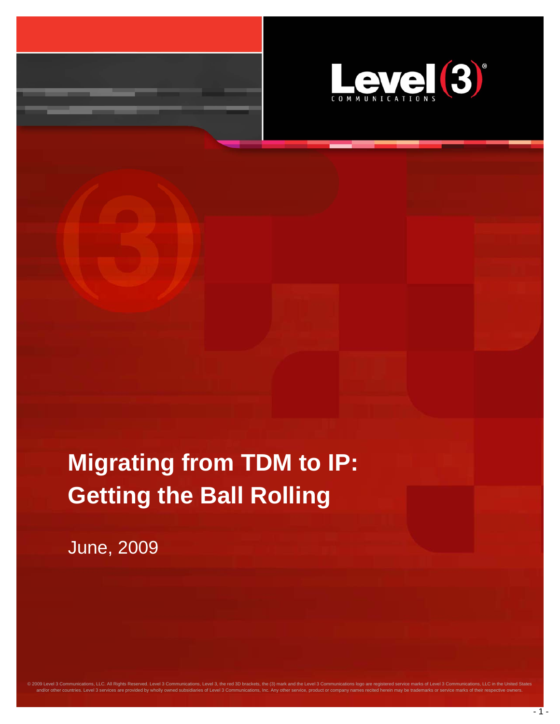

# **Migrating from TDM to IP: Getting the Ball Rolling**

@ 2009 Level 3 Communications, LLC. All Rights Reserved. Level 3 Communications, Level 3, the red 3D brackets, the (3) mark and the Level 3 Communications logo are registered service marks of Level 3 Communications, LLC in and/or other countries. Level 3 services are provided by wholly owned subsidiaries of Level 3 Communications, Inc. Any other service, product or company names recited herein may be trademarks or service marks of their resp

June, 2009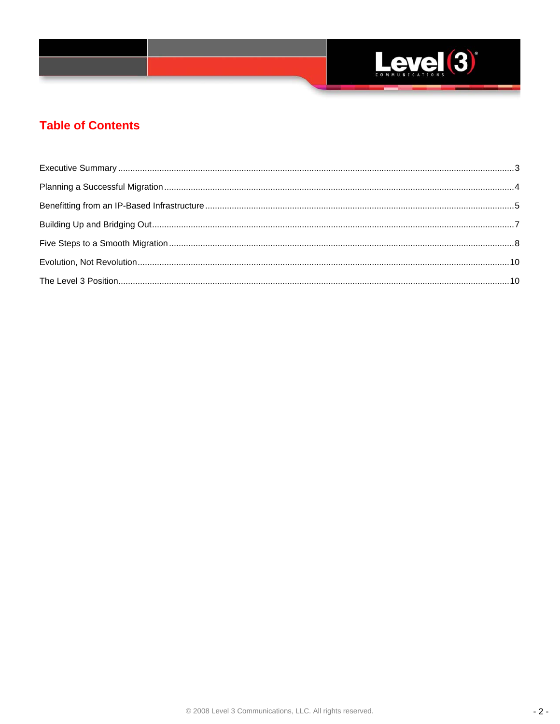

# **Table of Contents**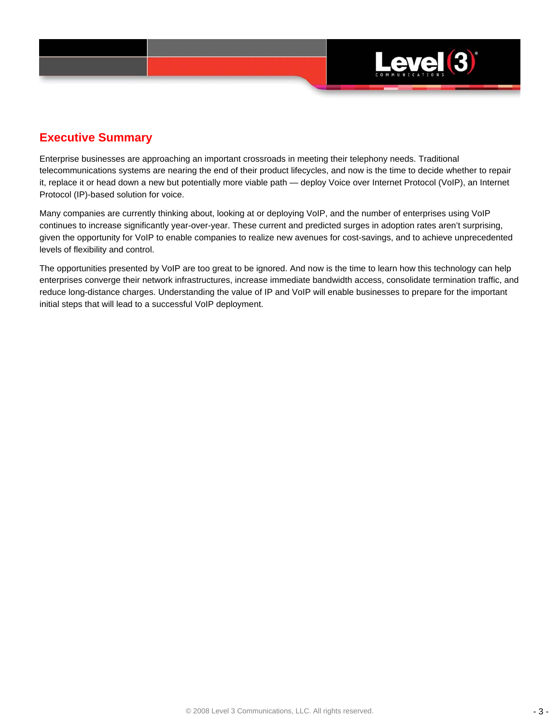

## **Executive Summary**

Enterprise businesses are approaching an important crossroads in meeting their telephony needs. Traditional telecommunications systems are nearing the end of their product lifecycles, and now is the time to decide whether to repair it, replace it or head down a new but potentially more viable path — deploy Voice over Internet Protocol (VoIP), an Internet Protocol (IP)-based solution for voice.

Many companies are currently thinking about, looking at or deploying VoIP, and the number of enterprises using VoIP continues to increase significantly year-over-year. These current and predicted surges in adoption rates aren't surprising, given the opportunity for VoIP to enable companies to realize new avenues for cost-savings, and to achieve unprecedented levels of flexibility and control.

The opportunities presented by VoIP are too great to be ignored. And now is the time to learn how this technology can help enterprises converge their network infrastructures, increase immediate bandwidth access, consolidate termination traffic, and reduce long-distance charges. Understanding the value of IP and VoIP will enable businesses to prepare for the important initial steps that will lead to a successful VoIP deployment.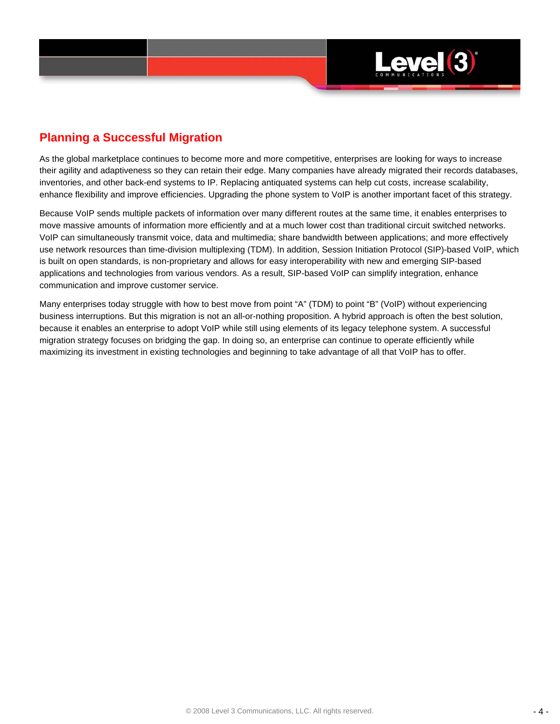

## **Planning a Successful Migration**

As the global marketplace continues to become more and more competitive, enterprises are looking for ways to increase their agility and adaptiveness so they can retain their edge. Many companies have already migrated their records databases, inventories, and other back-end systems to IP. Replacing antiquated systems can help cut costs, increase scalability, enhance flexibility and improve efficiencies. Upgrading the phone system to VoIP is another important facet of this strategy.

Because VoIP sends multiple packets of information over many different routes at the same time, it enables enterprises to move massive amounts of information more efficiently and at a much lower cost than traditional circuit switched networks. VoIP can simultaneously transmit voice, data and multimedia; share bandwidth between applications; and more effectively use network resources than time-division multiplexing (TDM). In addition, Session Initiation Protocol (SIP)-based VoIP, which is built on open standards, is non-proprietary and allows for easy interoperability with new and emerging SIP-based applications and technologies from various vendors. As a result, SIP-based VoIP can simplify integration, enhance communication and improve customer service.

Many enterprises today struggle with how to best move from point "A" (TDM) to point "B" (VoIP) without experiencing business interruptions. But this migration is not an all-or-nothing proposition. A hybrid approach is often the best solution, because it enables an enterprise to adopt VoIP while still using elements of its legacy telephone system. A successful migration strategy focuses on bridging the gap. In doing so, an enterprise can continue to operate efficiently while maximizing its investment in existing technologies and beginning to take advantage of all that VoIP has to offer.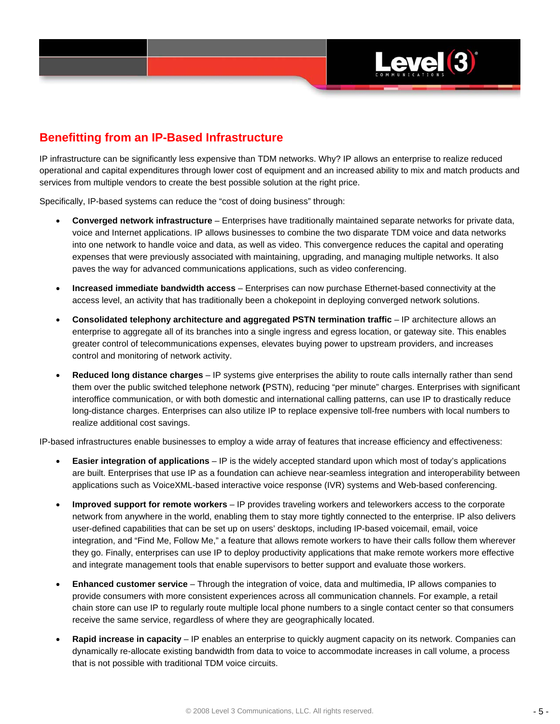

## **Benefitting from an IP-Based Infrastructure**

IP infrastructure can be significantly less expensive than TDM networks. Why? IP allows an enterprise to realize reduced operational and capital expenditures through lower cost of equipment and an increased ability to mix and match products and services from multiple vendors to create the best possible solution at the right price.

Specifically, IP-based systems can reduce the "cost of doing business" through:

- **Converged network infrastructure**  Enterprises have traditionally maintained separate networks for private data, voice and Internet applications. IP allows businesses to combine the two disparate TDM voice and data networks into one network to handle voice and data, as well as video. This convergence reduces the capital and operating expenses that were previously associated with maintaining, upgrading, and managing multiple networks. It also paves the way for advanced communications applications, such as video conferencing.
- **Increased immediate bandwidth access**  Enterprises can now purchase Ethernet-based connectivity at the access level, an activity that has traditionally been a chokepoint in deploying converged network solutions.
- Consolidated telephony architecture and aggregated PSTN termination traffic IP architecture allows an enterprise to aggregate all of its branches into a single ingress and egress location, or gateway site. This enables greater control of telecommunications expenses, elevates buying power to upstream providers, and increases control and monitoring of network activity.
- **Reduced long distance charges**  IP systems give enterprises the ability to route calls internally rather than send them over the public switched telephone network **(**PSTN), reducing "per minute" charges. Enterprises with significant interoffice communication, or with both domestic and international calling patterns, can use IP to drastically reduce long-distance charges. Enterprises can also utilize IP to replace expensive toll-free numbers with local numbers to realize additional cost savings.

IP-based infrastructures enable businesses to employ a wide array of features that increase efficiency and effectiveness:

- **Easier integration of applications**  IP is the widely accepted standard upon which most of today's applications are built. Enterprises that use IP as a foundation can achieve near-seamless integration and interoperability between applications such as VoiceXML-based interactive voice response (IVR) systems and Web-based conferencing.
- **Improved support for remote workers**  IP provides traveling workers and teleworkers access to the corporate network from anywhere in the world, enabling them to stay more tightly connected to the enterprise. IP also delivers user-defined capabilities that can be set up on users' desktops, including IP-based voicemail, email, voice integration, and "Find Me, Follow Me," a feature that allows remote workers to have their calls follow them wherever they go. Finally, enterprises can use IP to deploy productivity applications that make remote workers more effective and integrate management tools that enable supervisors to better support and evaluate those workers.
- **Enhanced customer service**  Through the integration of voice, data and multimedia, IP allows companies to provide consumers with more consistent experiences across all communication channels. For example, a retail chain store can use IP to regularly route multiple local phone numbers to a single contact center so that consumers receive the same service, regardless of where they are geographically located.
- **Rapid increase in capacity**  IP enables an enterprise to quickly augment capacity on its network. Companies can dynamically re-allocate existing bandwidth from data to voice to accommodate increases in call volume, a process that is not possible with traditional TDM voice circuits.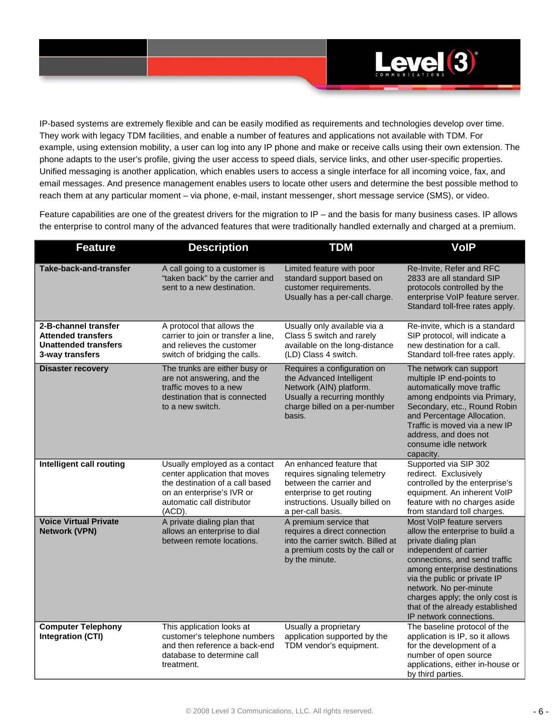

IP-based systems are extremely flexible and can be easily modified as requirements and technologies develop over time. They work with legacy TDM facilities, and enable a number of features and applications not available with TDM. For example, using extension mobility, a user can log into any IP phone and make or receive calls using their own extension. The phone adapts to the user's profile, giving the user access to speed dials, service links, and other user-specific properties. Unified messaging is another application, which enables users to access a single interface for all incoming voice, fax, and email messages. And presence management enables users to locate other users and determine the best possible method to reach them at any particular moment – via phone, e-mail, instant messenger, short message service (SMS), or video.

Feature capabilities are one of the greatest drivers for the migration to IP – and the basis for many business cases. IP allows the enterprise to control many of the advanced features that were traditionally handled externally and charged at a premium.

| <b>Feature</b>                                                                                      | <b>Description</b>                                                                                                                                                     | <b>TDM</b>                                                                                                                                                               | <b>VoIP</b>                                                                                                                                                                                                                                                                                                                                 |
|-----------------------------------------------------------------------------------------------------|------------------------------------------------------------------------------------------------------------------------------------------------------------------------|--------------------------------------------------------------------------------------------------------------------------------------------------------------------------|---------------------------------------------------------------------------------------------------------------------------------------------------------------------------------------------------------------------------------------------------------------------------------------------------------------------------------------------|
| <b>Take-back-and-transfer</b>                                                                       | A call going to a customer is<br>"taken back" by the carrier and<br>sent to a new destination.                                                                         | Limited feature with poor<br>standard support based on<br>customer requirements.<br>Usually has a per-call charge.                                                       | Re-Invite, Refer and RFC<br>2833 are all standard SIP<br>protocols controlled by the<br>enterprise VoIP feature server.<br>Standard toll-free rates apply.                                                                                                                                                                                  |
| 2-B-channel transfer<br><b>Attended transfers</b><br><b>Unattended transfers</b><br>3-way transfers | A protocol that allows the<br>carrier to join or transfer a line,<br>and relieves the customer<br>switch of bridging the calls.                                        | Usually only available via a<br>Class 5 switch and rarely<br>available on the long-distance<br>(LD) Class 4 switch.                                                      | Re-invite, which is a standard<br>SIP protocol, will indicate a<br>new destination for a call.<br>Standard toll-free rates apply.                                                                                                                                                                                                           |
| <b>Disaster recovery</b>                                                                            | The trunks are either busy or<br>are not answering, and the<br>traffic moves to a new<br>destination that is connected<br>to a new switch.                             | Requires a configuration on<br>the Advanced Intelligent<br>Network (AIN) platform.<br>Usually a recurring monthly<br>charge billed on a per-number<br>basis.             | The network can support<br>multiple IP end-points to<br>automatically move traffic<br>among endpoints via Primary,<br>Secondary, etc., Round Robin<br>and Percentage Allocation.<br>Traffic is moved via a new IP<br>address, and does not<br>consume idle network<br>capacity.                                                             |
| Intelligent call routing                                                                            | Usually employed as a contact<br>center application that moves<br>the destination of a call based<br>on an enterprise's IVR or<br>automatic call distributor<br>(ACD). | An enhanced feature that<br>requires signaling telemetry<br>between the carrier and<br>enterprise to get routing<br>instructions. Usually billed on<br>a per-call basis. | Supported via SIP 302<br>redirect. Exclusively<br>controlled by the enterprise's<br>equipment. An inherent VoIP<br>feature with no charges aside<br>from standard toll charges.                                                                                                                                                             |
| <b>Voice Virtual Private</b><br><b>Network (VPN)</b>                                                | A private dialing plan that<br>allows an enterprise to dial<br>between remote locations.                                                                               | A premium service that<br>requires a direct connection<br>into the carrier switch. Billed at<br>a premium costs by the call or<br>by the minute.                         | Most VoIP feature servers<br>allow the enterprise to build a<br>private dialing plan<br>independent of carrier<br>connections, and send traffic<br>among enterprise destinations<br>via the public or private IP<br>network. No per-minute<br>charges apply; the only cost is<br>that of the already established<br>IP network connections. |
| <b>Computer Telephony</b><br><b>Integration (CTI)</b>                                               | This application looks at<br>customer's telephone numbers<br>and then reference a back-end<br>database to determine call<br>treatment.                                 | Usually a proprietary<br>application supported by the<br>TDM vendor's equipment.                                                                                         | The baseline protocol of the<br>application is IP, so it allows<br>for the development of a<br>number of open source<br>applications, either in-house or<br>by third parties.                                                                                                                                                               |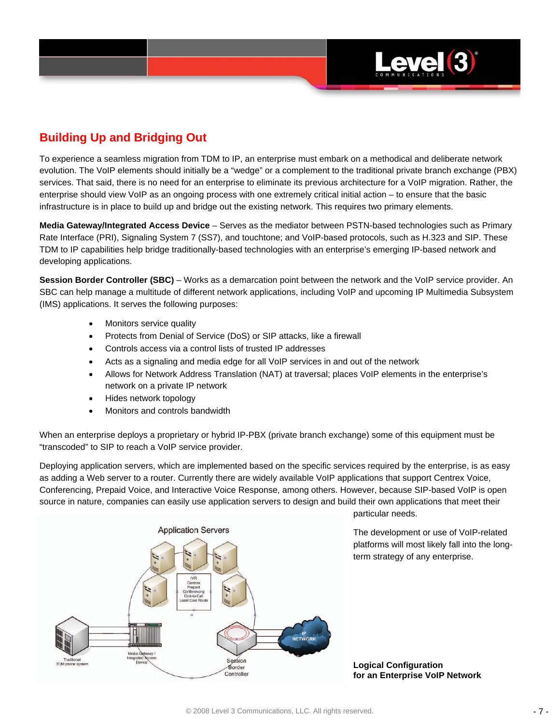

# **Building Up and Bridging Out**

To experience a seamless migration from TDM to IP, an enterprise must embark on a methodical and deliberate network evolution. The VoIP elements should initially be a "wedge" or a complement to the traditional private branch exchange (PBX) services. That said, there is no need for an enterprise to eliminate its previous architecture for a VoIP migration. Rather, the enterprise should view VoIP as an ongoing process with one extremely critical initial action – to ensure that the basic infrastructure is in place to build up and bridge out the existing network. This requires two primary elements.

**Media Gateway/Integrated Access Device** – Serves as the mediator between PSTN-based technologies such as Primary Rate Interface (PRI), Signaling System 7 (SS7), and touchtone; and VoIP-based protocols, such as H.323 and SIP. These TDM to IP capabilities help bridge traditionally-based technologies with an enterprise's emerging IP-based network and developing applications.

**Session Border Controller (SBC)** – Works as a demarcation point between the network and the VoIP service provider. An SBC can help manage a multitude of different network applications, including VoIP and upcoming IP Multimedia Subsystem (IMS) applications. It serves the following purposes:

- Monitors service quality
- Protects from Denial of Service (DoS) or SIP attacks, like a firewall
- Controls access via a control lists of trusted IP addresses
- Acts as a signaling and media edge for all VoIP services in and out of the network
- Allows for Network Address Translation (NAT) at traversal; places VoIP elements in the enterprise's network on a private IP network
- Hides network topology
- Monitors and controls bandwidth

When an enterprise deploys a proprietary or hybrid IP-PBX (private branch exchange) some of this equipment must be "transcoded" to SIP to reach a VoIP service provider.

Deploying application servers, which are implemented based on the specific services required by the enterprise, is as easy as adding a Web server to a router. Currently there are widely available VoIP applications that support Centrex Voice, Conferencing, Prepaid Voice, and Interactive Voice Response, among others. However, because SIP-based VoIP is open source in nature, companies can easily use application servers to design and build their own applications that meet their



particular needs.

The development or use of VoIP-related platforms will most likely fall into the longterm strategy of any enterprise.

**Logical Configuration for an Enterprise VoIP Network**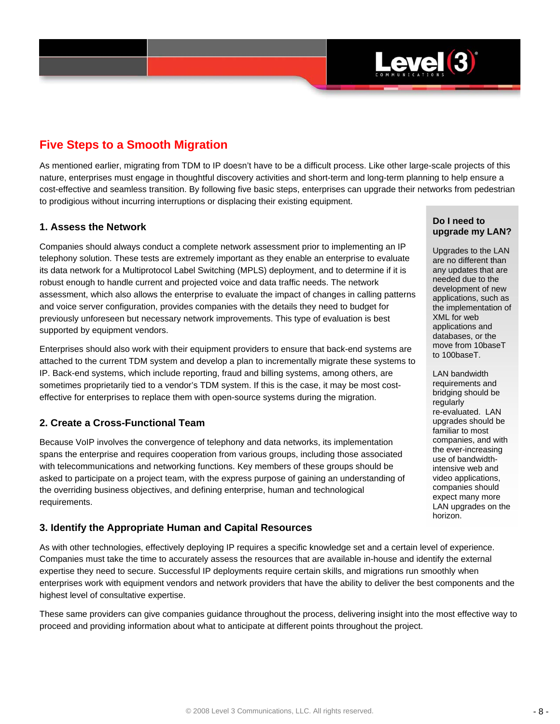

## **Five Steps to a Smooth Migration**

As mentioned earlier, migrating from TDM to IP doesn't have to be a difficult process. Like other large-scale projects of this nature, enterprises must engage in thoughtful discovery activities and short-term and long-term planning to help ensure a cost-effective and seamless transition. By following five basic steps, enterprises can upgrade their networks from pedestrian to prodigious without incurring interruptions or displacing their existing equipment.

#### **1. Assess the Network**

Companies should always conduct a complete network assessment prior to implementing an IP telephony solution. These tests are extremely important as they enable an enterprise to evaluate its data network for a Multiprotocol Label Switching (MPLS) deployment, and to determine if it is robust enough to handle current and projected voice and data traffic needs. The network assessment, which also allows the enterprise to evaluate the impact of changes in calling patterns and voice server configuration, provides companies with the details they need to budget for previously unforeseen but necessary network improvements. This type of evaluation is best supported by equipment vendors.

Enterprises should also work with their equipment providers to ensure that back-end systems are attached to the current TDM system and develop a plan to incrementally migrate these systems to IP. Back-end systems, which include reporting, fraud and billing systems, among others, are sometimes proprietarily tied to a vendor's TDM system. If this is the case, it may be most costeffective for enterprises to replace them with open-source systems during the migration.

#### **2. Create a Cross-Functional Team**

Because VoIP involves the convergence of telephony and data networks, its implementation spans the enterprise and requires cooperation from various groups, including those associated with telecommunications and networking functions. Key members of these groups should be asked to participate on a project team, with the express purpose of gaining an understanding of the overriding business objectives, and defining enterprise, human and technological requirements.

#### **3. Identify the Appropriate Human and Capital Resources**

As with other technologies, effectively deploying IP requires a specific knowledge set and a certain level of experience. Companies must take the time to accurately assess the resources that are available in-house and identify the external expertise they need to secure. Successful IP deployments require certain skills, and migrations run smoothly when enterprises work with equipment vendors and network providers that have the ability to deliver the best components and the highest level of consultative expertise.

These same providers can give companies guidance throughout the process, delivering insight into the most effective way to proceed and providing information about what to anticipate at different points throughout the project.

#### **Do I need to upgrade my LAN?**

Upgrades to the LAN are no different than any updates that are needed due to the development of new applications, such as the implementation of XML for web applications and databases, or the move from 10baseT to 100baseT.

LAN bandwidth requirements and bridging should be regularly re-evaluated. LAN upgrades should be familiar to most companies, and with the ever-increasing use of bandwidthintensive web and video applications, companies should expect many more LAN upgrades on the horizon.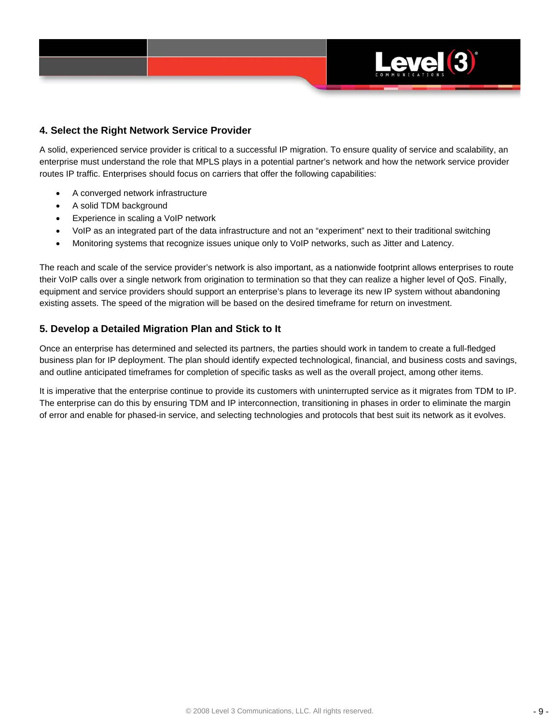

#### **4. Select the Right Network Service Provider**

A solid, experienced service provider is critical to a successful IP migration. To ensure quality of service and scalability, an enterprise must understand the role that MPLS plays in a potential partner's network and how the network service provider routes IP traffic. Enterprises should focus on carriers that offer the following capabilities:

- A converged network infrastructure
- A solid TDM background
- Experience in scaling a VoIP network
- VoIP as an integrated part of the data infrastructure and not an "experiment" next to their traditional switching
- Monitoring systems that recognize issues unique only to VoIP networks, such as Jitter and Latency.

The reach and scale of the service provider's network is also important, as a nationwide footprint allows enterprises to route their VoIP calls over a single network from origination to termination so that they can realize a higher level of QoS. Finally, equipment and service providers should support an enterprise's plans to leverage its new IP system without abandoning existing assets. The speed of the migration will be based on the desired timeframe for return on investment.

#### **5. Develop a Detailed Migration Plan and Stick to It**

Once an enterprise has determined and selected its partners, the parties should work in tandem to create a full-fledged business plan for IP deployment. The plan should identify expected technological, financial, and business costs and savings, and outline anticipated timeframes for completion of specific tasks as well as the overall project, among other items.

It is imperative that the enterprise continue to provide its customers with uninterrupted service as it migrates from TDM to IP. The enterprise can do this by ensuring TDM and IP interconnection, transitioning in phases in order to eliminate the margin of error and enable for phased-in service, and selecting technologies and protocols that best suit its network as it evolves.